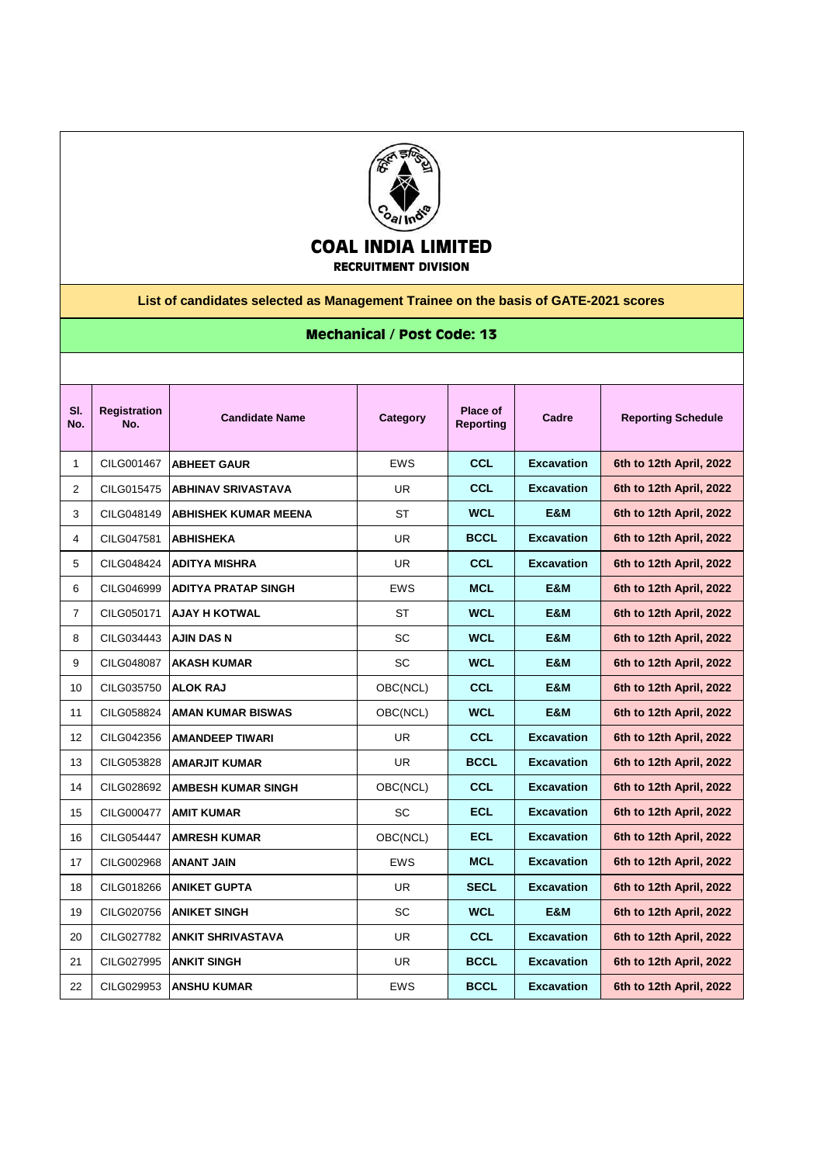

## **COAL INDIA LIMITED RECRUITMENT DIVISION**

**List of candidates selected as Management Trainee on the basis of GATE-2021 scores**

## **Mechanical / Post Code: 13**

| SI.<br>No.     | <b>Registration</b><br>No. | <b>Candidate Name</b>       | Category   | Place of<br><b>Reporting</b> | Cadre             | <b>Reporting Schedule</b> |
|----------------|----------------------------|-----------------------------|------------|------------------------------|-------------------|---------------------------|
| 1              | CILG001467                 | <b>ABHEET GAUR</b>          | <b>EWS</b> | <b>CCL</b>                   | <b>Excavation</b> | 6th to 12th April, 2022   |
| $\overline{2}$ | CILG015475                 | <b>ABHINAV SRIVASTAVA</b>   | <b>UR</b>  | <b>CCL</b>                   | <b>Excavation</b> | 6th to 12th April, 2022   |
| 3              | CILG048149                 | <b>ABHISHEK KUMAR MEENA</b> | <b>ST</b>  | <b>WCL</b>                   | <b>E&amp;M</b>    | 6th to 12th April, 2022   |
| 4              | CILG047581                 | <b>ABHISHEKA</b>            | <b>UR</b>  | <b>BCCL</b>                  | <b>Excavation</b> | 6th to 12th April, 2022   |
| 5              | CILG048424                 | <b>ADITYA MISHRA</b>        | UR.        | <b>CCL</b>                   | <b>Excavation</b> | 6th to 12th April, 2022   |
| 6              | CILG046999                 | <b>ADITYA PRATAP SINGH</b>  | <b>EWS</b> | <b>MCL</b>                   | <b>E&amp;M</b>    | 6th to 12th April, 2022   |
| 7              | CILG050171                 | <b>AJAY H KOTWAL</b>        | <b>ST</b>  | <b>WCL</b>                   | <b>E&amp;M</b>    | 6th to 12th April, 2022   |
| 8              | CILG034443                 | AJIN DAS N                  | <b>SC</b>  | <b>WCL</b>                   | E&M               | 6th to 12th April, 2022   |
| 9              | CILG048087                 | <b>AKASH KUMAR</b>          | SC         | <b>WCL</b>                   | E&M               | 6th to 12th April, 2022   |
| 10             | CILG035750                 | IALOK RAJ                   | OBC(NCL)   | <b>CCL</b>                   | E&M               | 6th to 12th April, 2022   |
| 11             | CILG058824                 | <b>AMAN KUMAR BISWAS</b>    | OBC(NCL)   | <b>WCL</b>                   | E&M               | 6th to 12th April, 2022   |
| 12             | CILG042356                 | <b>AMANDEEP TIWARI</b>      | UR.        | <b>CCL</b>                   | <b>Excavation</b> | 6th to 12th April, 2022   |
| 13             | CILG053828                 | <b>AMARJIT KUMAR</b>        | UR.        | <b>BCCL</b>                  | <b>Excavation</b> | 6th to 12th April, 2022   |
| 14             | CILG028692                 | <b>AMBESH KUMAR SINGH</b>   | OBC(NCL)   | <b>CCL</b>                   | <b>Excavation</b> | 6th to 12th April, 2022   |
| 15             | CILG000477                 | <b>AMIT KUMAR</b>           | <b>SC</b>  | <b>ECL</b>                   | <b>Excavation</b> | 6th to 12th April, 2022   |
| 16             | CILG054447                 | <b>AMRESH KUMAR</b>         | OBC(NCL)   | <b>ECL</b>                   | <b>Excavation</b> | 6th to 12th April, 2022   |
| 17             | CILG002968                 | <b>ANANT JAIN</b>           | <b>EWS</b> | <b>MCL</b>                   | <b>Excavation</b> | 6th to 12th April, 2022   |
| 18             | CILG018266                 | <b>ANIKET GUPTA</b>         | UR         | <b>SECL</b>                  | <b>Excavation</b> | 6th to 12th April, 2022   |
| 19             | CILG020756                 | <b>ANIKET SINGH</b>         | <b>SC</b>  | <b>WCL</b>                   | <b>E&amp;M</b>    | 6th to 12th April, 2022   |
| 20             | CILG027782                 | <b>ANKIT SHRIVASTAVA</b>    | <b>UR</b>  | <b>CCL</b>                   | <b>Excavation</b> | 6th to 12th April, 2022   |
| 21             | CILG027995                 | <b>ANKIT SINGH</b>          | <b>UR</b>  | <b>BCCL</b>                  | <b>Excavation</b> | 6th to 12th April, 2022   |
| 22             | CILG029953                 | <b>ANSHU KUMAR</b>          | <b>EWS</b> | <b>BCCL</b>                  | <b>Excavation</b> | 6th to 12th April, 2022   |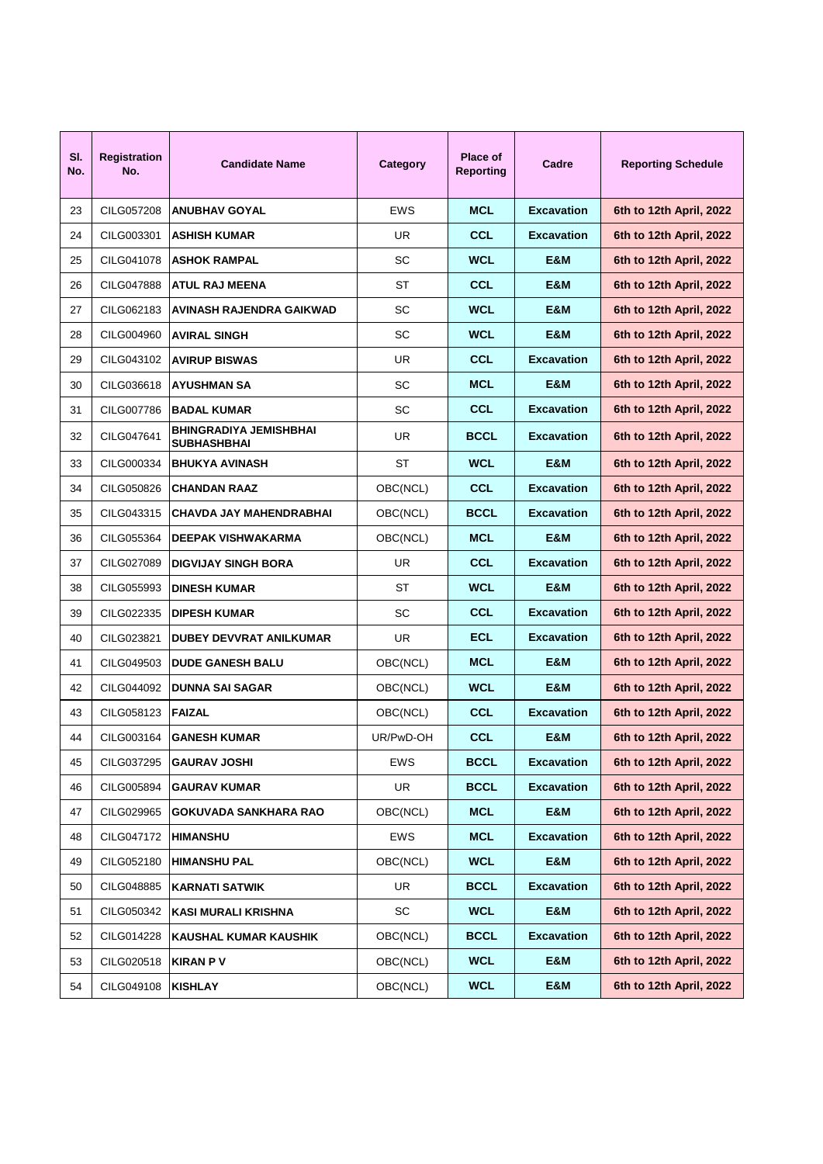| SI.<br>No. | <b>Registration</b><br>No. | <b>Candidate Name</b>                               | Category   | Place of<br><b>Reporting</b> | Cadre             | <b>Reporting Schedule</b> |
|------------|----------------------------|-----------------------------------------------------|------------|------------------------------|-------------------|---------------------------|
| 23         | CILG057208                 | <b>ANUBHAV GOYAL</b>                                | <b>EWS</b> | <b>MCL</b>                   | <b>Excavation</b> | 6th to 12th April, 2022   |
| 24         | CILG003301                 | <b>ASHISH KUMAR</b>                                 | UR.        | <b>CCL</b>                   | <b>Excavation</b> | 6th to 12th April, 2022   |
| 25         | CILG041078                 | <b>ASHOK RAMPAL</b>                                 | <b>SC</b>  | <b>WCL</b>                   | <b>E&amp;M</b>    | 6th to 12th April, 2022   |
| 26         | CILG047888                 | <b>ATUL RAJ MEENA</b>                               | ST         | <b>CCL</b>                   | E&M               | 6th to 12th April, 2022   |
| 27         | CILG062183                 | <b>AVINASH RAJENDRA GAIKWAD</b>                     | SC         | <b>WCL</b>                   | <b>E&amp;M</b>    | 6th to 12th April, 2022   |
| 28         | CILG004960                 | <b>AVIRAL SINGH</b>                                 | <b>SC</b>  | <b>WCL</b>                   | <b>E&amp;M</b>    | 6th to 12th April, 2022   |
| 29         | CILG043102                 | <b>AVIRUP BISWAS</b>                                | UR.        | <b>CCL</b>                   | <b>Excavation</b> | 6th to 12th April, 2022   |
| 30         | CILG036618                 | IAYUSHMAN SA                                        | <b>SC</b>  | <b>MCL</b>                   | <b>E&amp;M</b>    | 6th to 12th April, 2022   |
| 31         | CILG007786                 | <b>BADAL KUMAR</b>                                  | <b>SC</b>  | <b>CCL</b>                   | <b>Excavation</b> | 6th to 12th April, 2022   |
| 32         | CILG047641                 | <b>BHINGRADIYA JEMISHBHAI</b><br><b>SUBHASHBHAI</b> | UR.        | <b>BCCL</b>                  | <b>Excavation</b> | 6th to 12th April, 2022   |
| 33         | CILG000334                 | <b>BHUKYA AVINASH</b>                               | <b>ST</b>  | <b>WCL</b>                   | E&M               | 6th to 12th April, 2022   |
| 34         | CILG050826                 | <b>CHANDAN RAAZ</b>                                 | OBC(NCL)   | <b>CCL</b>                   | <b>Excavation</b> | 6th to 12th April, 2022   |
| 35         | CILG043315                 | CHAVDA JAY MAHENDRABHAI                             | OBC(NCL)   | <b>BCCL</b>                  | <b>Excavation</b> | 6th to 12th April, 2022   |
| 36         | CILG055364                 | <b>DEEPAK VISHWAKARMA</b>                           | OBC(NCL)   | <b>MCL</b>                   | E&M               | 6th to 12th April, 2022   |
| 37         | CILG027089                 | <b>DIGVIJAY SINGH BORA</b>                          | UR.        | <b>CCL</b>                   | <b>Excavation</b> | 6th to 12th April, 2022   |
| 38         | CILG055993                 | <b>DINESH KUMAR</b>                                 | ST         | <b>WCL</b>                   | E&M               | 6th to 12th April, 2022   |
| 39         | CILG022335                 | <b>IDIPESH KUMAR</b>                                | <b>SC</b>  | <b>CCL</b>                   | <b>Excavation</b> | 6th to 12th April, 2022   |
| 40         | CILG023821                 | <b>DUBEY DEVVRAT ANILKUMAR</b>                      | UR.        | ECL                          | <b>Excavation</b> | 6th to 12th April, 2022   |
| 41         | CILG049503                 | <b>DUDE GANESH BALU</b>                             | OBC(NCL)   | <b>MCL</b>                   | E&M               | 6th to 12th April, 2022   |
| 42         | CILG044092                 | <b>DUNNA SAI SAGAR</b>                              | OBC(NCL)   | <b>WCL</b>                   | E&M               | 6th to 12th April, 2022   |
| 43         | CILG058123                 | <b>FAIZAL</b>                                       | OBC(NCL)   | <b>CCL</b>                   | <b>Excavation</b> | 6th to 12th April, 2022   |
| 44         | CILG003164                 | <b>GANESH KUMAR</b>                                 | UR/PwD-OH  | <b>CCL</b>                   | E&M               | 6th to 12th April, 2022   |
| 45         | CILG037295                 | <b>GAURAV JOSHI</b>                                 | EWS        | <b>BCCL</b>                  | <b>Excavation</b> | 6th to 12th April, 2022   |
| 46         | CILG005894                 | <b>GAURAV KUMAR</b>                                 | UR         | <b>BCCL</b>                  | <b>Excavation</b> | 6th to 12th April, 2022   |
| 47         | CILG029965                 | <b>GOKUVADA SANKHARA RAO</b>                        | OBC(NCL)   | <b>MCL</b>                   | E&M               | 6th to 12th April, 2022   |
| 48         | CILG047172                 | <b>HIMANSHU</b>                                     | EWS        | <b>MCL</b>                   | <b>Excavation</b> | 6th to 12th April, 2022   |
| 49         | CILG052180                 | <b>HIMANSHU PAL</b>                                 | OBC(NCL)   | <b>WCL</b>                   | E&M               | 6th to 12th April, 2022   |
| 50         | CILG048885                 | KARNATI SATWIK                                      | UR         | <b>BCCL</b>                  | <b>Excavation</b> | 6th to 12th April, 2022   |
| 51         | CILG050342                 | KASI MURALI KRISHNA                                 | SC         | <b>WCL</b>                   | E&M               | 6th to 12th April, 2022   |
| 52         | CILG014228                 | KAUSHAL KUMAR KAUSHIK                               | OBC(NCL)   | <b>BCCL</b>                  | <b>Excavation</b> | 6th to 12th April, 2022   |
| 53         | CILG020518                 | <b>KIRAN P V</b>                                    | OBC(NCL)   | <b>WCL</b>                   | E&M               | 6th to 12th April, 2022   |
| 54         | CILG049108                 | <b>KISHLAY</b>                                      | OBC(NCL)   | <b>WCL</b>                   | E&M               | 6th to 12th April, 2022   |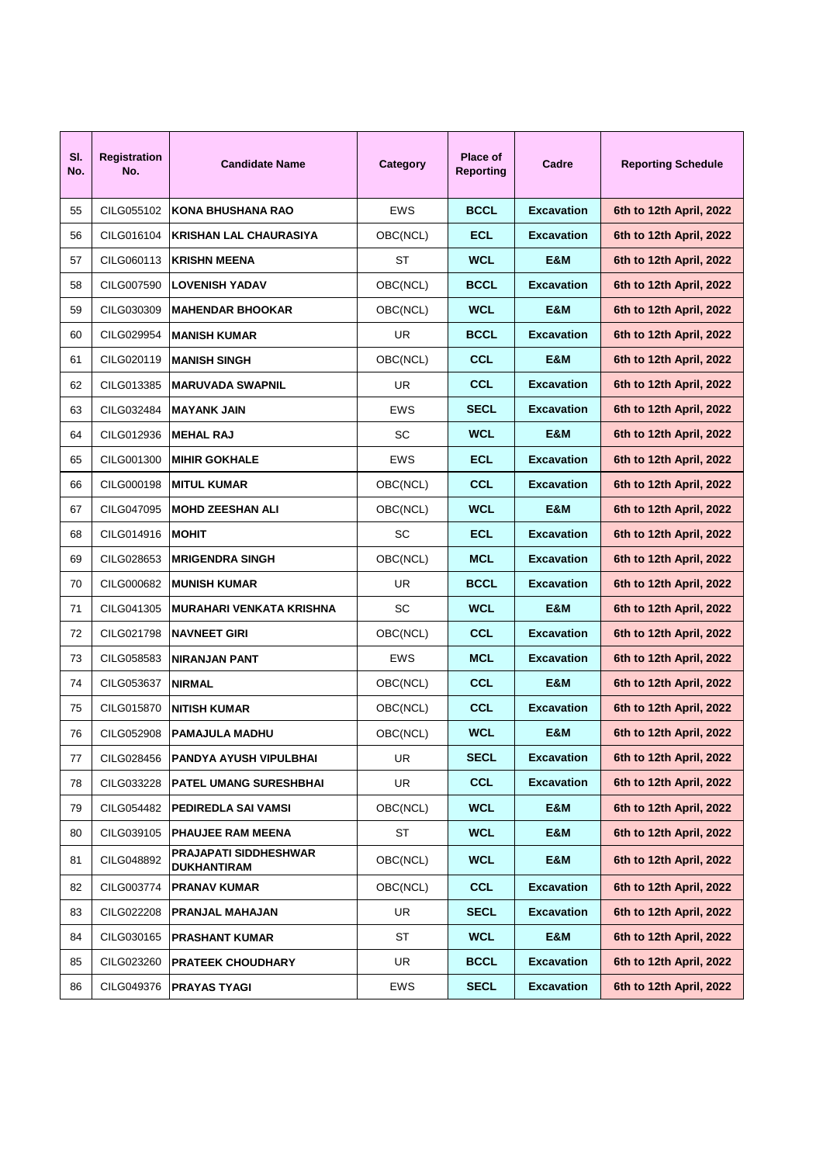| SI.<br>No. | <b>Registration</b><br>No. | <b>Candidate Name</b>                              | Category   | Place of<br>Reporting | Cadre             | <b>Reporting Schedule</b> |
|------------|----------------------------|----------------------------------------------------|------------|-----------------------|-------------------|---------------------------|
| 55         | CILG055102                 | KONA BHUSHANA RAO                                  | <b>EWS</b> | <b>BCCL</b>           | <b>Excavation</b> | 6th to 12th April, 2022   |
| 56         | CILG016104                 | KRISHAN LAL CHAURASIYA                             | OBC(NCL)   | <b>ECL</b>            | <b>Excavation</b> | 6th to 12th April, 2022   |
| 57         | CILG060113                 | <b>IKRISHN MEENA</b>                               | ST         | <b>WCL</b>            | E&M               | 6th to 12th April, 2022   |
| 58         | CILG007590                 | <b>LOVENISH YADAV</b>                              | OBC(NCL)   | <b>BCCL</b>           | <b>Excavation</b> | 6th to 12th April, 2022   |
| 59         | CILG030309                 | IMAHENDAR BHOOKAR                                  | OBC(NCL)   | <b>WCL</b>            | E&M               | 6th to 12th April, 2022   |
| 60         | CILG029954                 | IMANISH KUMAR                                      | UR.        | <b>BCCL</b>           | <b>Excavation</b> | 6th to 12th April, 2022   |
| 61         | CILG020119                 | IMANISH SINGH                                      | OBC(NCL)   | <b>CCL</b>            | E&M               | 6th to 12th April, 2022   |
| 62         | CILG013385                 | <b>IMARUVADA SWAPNIL</b>                           | UR.        | CCL                   | <b>Excavation</b> | 6th to 12th April, 2022   |
| 63         | CILG032484                 | <b>IMAYANK JAIN</b>                                | <b>EWS</b> | <b>SECL</b>           | <b>Excavation</b> | 6th to 12th April, 2022   |
| 64         | CILG012936                 | <b>MEHAL RAJ</b>                                   | SC         | <b>WCL</b>            | E&M               | 6th to 12th April, 2022   |
| 65         | CILG001300                 | <b>MIHIR GOKHALE</b>                               | <b>EWS</b> | <b>ECL</b>            | <b>Excavation</b> | 6th to 12th April, 2022   |
| 66         | CILG000198                 | <b>IMITUL KUMAR</b>                                | OBC(NCL)   | CCL                   | <b>Excavation</b> | 6th to 12th April, 2022   |
| 67         | CILG047095                 | <b>IMOHD ZEESHAN ALI</b>                           | OBC(NCL)   | <b>WCL</b>            | E&M               | 6th to 12th April, 2022   |
| 68         | CILG014916                 | <b>MOHIT</b>                                       | SC         | <b>ECL</b>            | <b>Excavation</b> | 6th to 12th April, 2022   |
| 69         | CILG028653                 | <b>IMRIGENDRA SINGH</b>                            | OBC(NCL)   | MCL                   | <b>Excavation</b> | 6th to 12th April, 2022   |
| 70         | CILG000682                 | IMUNISH KUMAR                                      | UR         | <b>BCCL</b>           | <b>Excavation</b> | 6th to 12th April, 2022   |
| 71         | CILG041305                 | İMURAHARI VENKATA KRISHNA                          | SC         | <b>WCL</b>            | E&M               | 6th to 12th April, 2022   |
| 72         | CILG021798                 | <b>INAVNEET GIRI</b>                               | OBC(NCL)   | CCL                   | <b>Excavation</b> | 6th to 12th April, 2022   |
| 73         | CILG058583                 | INIRANJAN PANT                                     | <b>EWS</b> | MCL                   | <b>Excavation</b> | 6th to 12th April, 2022   |
| 74         | CILG053637                 | <b>NIRMAL</b>                                      | OBC(NCL)   | CCL                   | E&M               | 6th to 12th April, 2022   |
| 75         | CILG015870                 | INITISH KUMAR                                      | OBC(NCL)   | CCL                   | <b>Excavation</b> | 6th to 12th April, 2022   |
| 76         | CILG052908                 | IPAMAJULA MADHU                                    | OBC(NCL)   | <b>WCL</b>            | E&M               | 6th to 12th April, 2022   |
| 77         | CILG028456                 | <b>PANDYA AYUSH VIPULBHAI</b>                      | UR         | <b>SECL</b>           | <b>Excavation</b> | 6th to 12th April, 2022   |
| 78         | CILG033228                 | <b>PATEL UMANG SURESHBHAI</b>                      | UR         | <b>CCL</b>            | <b>Excavation</b> | 6th to 12th April, 2022   |
| 79         | CILG054482                 | PEDIREDLA SAI VAMSI                                | OBC(NCL)   | <b>WCL</b>            | E&M               | 6th to 12th April, 2022   |
| 80         | CILG039105                 | PHAUJEE RAM MEENA                                  | ST         | <b>WCL</b>            | E&M               | 6th to 12th April, 2022   |
| 81         | CILG048892                 | <b>PRAJAPATI SIDDHESHWAR</b><br><b>DUKHANTIRAM</b> | OBC(NCL)   | <b>WCL</b>            | E&M               | 6th to 12th April, 2022   |
| 82         | CILG003774                 | <b>PRANAV KUMAR</b>                                | OBC(NCL)   | <b>CCL</b>            | <b>Excavation</b> | 6th to 12th April, 2022   |
| 83         | CILG022208                 | <b>PRANJAL MAHAJAN</b>                             | UR         | <b>SECL</b>           | <b>Excavation</b> | 6th to 12th April, 2022   |
| 84         | CILG030165                 | PRASHANT KUMAR                                     | ST         | <b>WCL</b>            | E&M               | 6th to 12th April, 2022   |
| 85         | CILG023260                 | PRATEEK CHOUDHARY                                  | UR         | <b>BCCL</b>           | <b>Excavation</b> | 6th to 12th April, 2022   |
| 86         | CILG049376                 | PRAYAS TYAGI                                       | EWS        | <b>SECL</b>           | <b>Excavation</b> | 6th to 12th April, 2022   |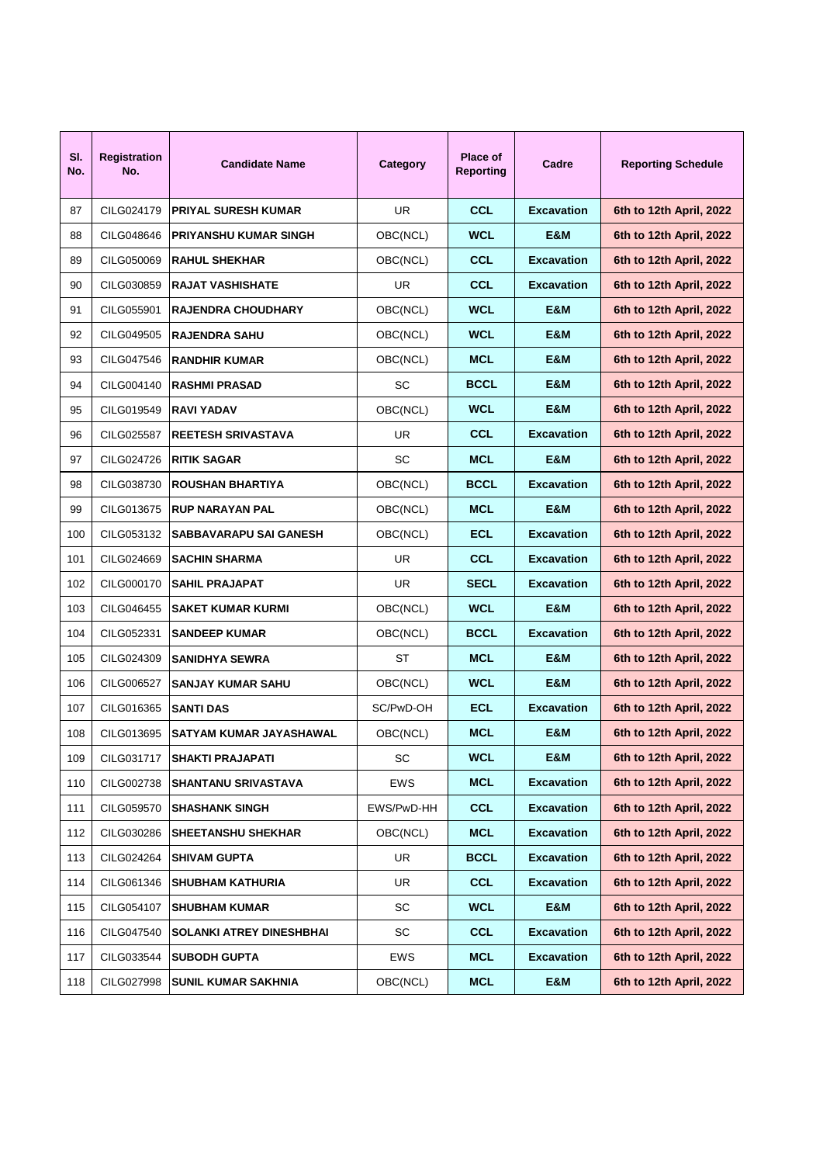| SI.<br>No. | <b>Registration</b><br>No. | <b>Candidate Name</b>           | Category   | <b>Place of</b><br>Reporting | Cadre             | <b>Reporting Schedule</b> |
|------------|----------------------------|---------------------------------|------------|------------------------------|-------------------|---------------------------|
| 87         | CILG024179                 | <b>PRIYAL SURESH KUMAR</b>      | UR         | CCL                          | <b>Excavation</b> | 6th to 12th April, 2022   |
| 88         | CILG048646                 | <b>PRIYANSHU KUMAR SINGH</b>    | OBC(NCL)   | <b>WCL</b>                   | E&M               | 6th to 12th April, 2022   |
| 89         | CILG050069                 | <b>RAHUL SHEKHAR</b>            | OBC(NCL)   | CCL                          | <b>Excavation</b> | 6th to 12th April, 2022   |
| 90         | CILG030859                 | <b>RAJAT VASHISHATE</b>         | UR         | CCL                          | <b>Excavation</b> | 6th to 12th April, 2022   |
| 91         | CILG055901                 | IRAJENDRA CHOUDHARY             | OBC(NCL)   | <b>WCL</b>                   | E&M               | 6th to 12th April, 2022   |
| 92         | CILG049505                 | <b>RAJENDRA SAHU</b>            | OBC(NCL)   | <b>WCL</b>                   | E&M               | 6th to 12th April, 2022   |
| 93         | CILG047546                 | <b>RANDHIR KUMAR</b>            | OBC(NCL)   | <b>MCL</b>                   | E&M               | 6th to 12th April, 2022   |
| 94         | CILG004140                 | <b>RASHMI PRASAD</b>            | SC         | <b>BCCL</b>                  | E&M               | 6th to 12th April, 2022   |
| 95         | CILG019549                 | <b>RAVI YADAV</b>               | OBC(NCL)   | <b>WCL</b>                   | E&M               | 6th to 12th April, 2022   |
| 96         | CILG025587                 | <b>REETESH SRIVASTAVA</b>       | UR         | CCL                          | <b>Excavation</b> | 6th to 12th April, 2022   |
| 97         | CILG024726                 | <b>RITIK SAGAR</b>              | SC         | <b>MCL</b>                   | E&M               | 6th to 12th April, 2022   |
| 98         | CILG038730                 | <b>ROUSHAN BHARTIYA</b>         | OBC(NCL)   | <b>BCCL</b>                  | <b>Excavation</b> | 6th to 12th April, 2022   |
| 99         | CILG013675                 | IRUP NARAYAN PAL                | OBC(NCL)   | <b>MCL</b>                   | E&M               | 6th to 12th April, 2022   |
| 100        | CILG053132                 | <b>SABBAVARAPU SAI GANESH</b>   | OBC(NCL)   | <b>ECL</b>                   | <b>Excavation</b> | 6th to 12th April, 2022   |
| 101        | CILG024669                 | <b>SACHIN SHARMA</b>            | UR         | <b>CCL</b>                   | <b>Excavation</b> | 6th to 12th April, 2022   |
| 102        | CILG000170                 | <b>SAHIL PRAJAPAT</b>           | UR         | <b>SECL</b>                  | <b>Excavation</b> | 6th to 12th April, 2022   |
| 103        | CILG046455                 | <b>SAKET KUMAR KURMI</b>        | OBC(NCL)   | <b>WCL</b>                   | E&M               | 6th to 12th April, 2022   |
| 104        | CILG052331                 | <b>SANDEEP KUMAR</b>            | OBC(NCL)   | <b>BCCL</b>                  | <b>Excavation</b> | 6th to 12th April, 2022   |
| 105        | CILG024309                 | <b>SANIDHYA SEWRA</b>           | ST         | <b>MCL</b>                   | E&M               | 6th to 12th April, 2022   |
| 106        | CILG006527                 | <b>SANJAY KUMAR SAHU</b>        | OBC(NCL)   | <b>WCL</b>                   | E&M               | 6th to 12th April, 2022   |
| 107        | CILG016365                 | <b>SANTI DAS</b>                | SC/PwD-OH  | <b>ECL</b>                   | <b>Excavation</b> | 6th to 12th April, 2022   |
| 108        | CILG013695                 | SATYAM KUMAR JAYASHAWAL         | OBC(NCL)   | <b>MCL</b>                   | E&M               | 6th to 12th April, 2022   |
| 109        | CILG031717                 | SHAKTI PRAJAPATI                | SC         | <b>WCL</b>                   | E&M               | 6th to 12th April, 2022   |
| 110        | CILG002738                 | <b>SHANTANU SRIVASTAVA</b>      | EWS        | <b>MCL</b>                   | <b>Excavation</b> | 6th to 12th April, 2022   |
| 111        | CILG059570                 | <b>SHASHANK SINGH</b>           | EWS/PwD-HH | <b>CCL</b>                   | <b>Excavation</b> | 6th to 12th April, 2022   |
| 112        | CILG030286                 | <b>SHEETANSHU SHEKHAR</b>       | OBC(NCL)   | <b>MCL</b>                   | <b>Excavation</b> | 6th to 12th April, 2022   |
| 113        | CILG024264                 | <b>SHIVAM GUPTA</b>             | UR         | <b>BCCL</b>                  | <b>Excavation</b> | 6th to 12th April, 2022   |
| 114        | CILG061346                 | <b>SHUBHAM KATHURIA</b>         | UR         | <b>CCL</b>                   | <b>Excavation</b> | 6th to 12th April, 2022   |
| 115        | CILG054107                 | <b>SHUBHAM KUMAR</b>            | SC         | <b>WCL</b>                   | E&M               | 6th to 12th April, 2022   |
| 116        | CILG047540                 | <b>SOLANKI ATREY DINESHBHAI</b> | SC         | <b>CCL</b>                   | <b>Excavation</b> | 6th to 12th April, 2022   |
| 117        | CILG033544                 | <b>SUBODH GUPTA</b>             | EWS        | <b>MCL</b>                   | <b>Excavation</b> | 6th to 12th April, 2022   |
| 118        | CILG027998                 | SUNIL KUMAR SAKHNIA             | OBC(NCL)   | <b>MCL</b>                   | E&M               | 6th to 12th April, 2022   |